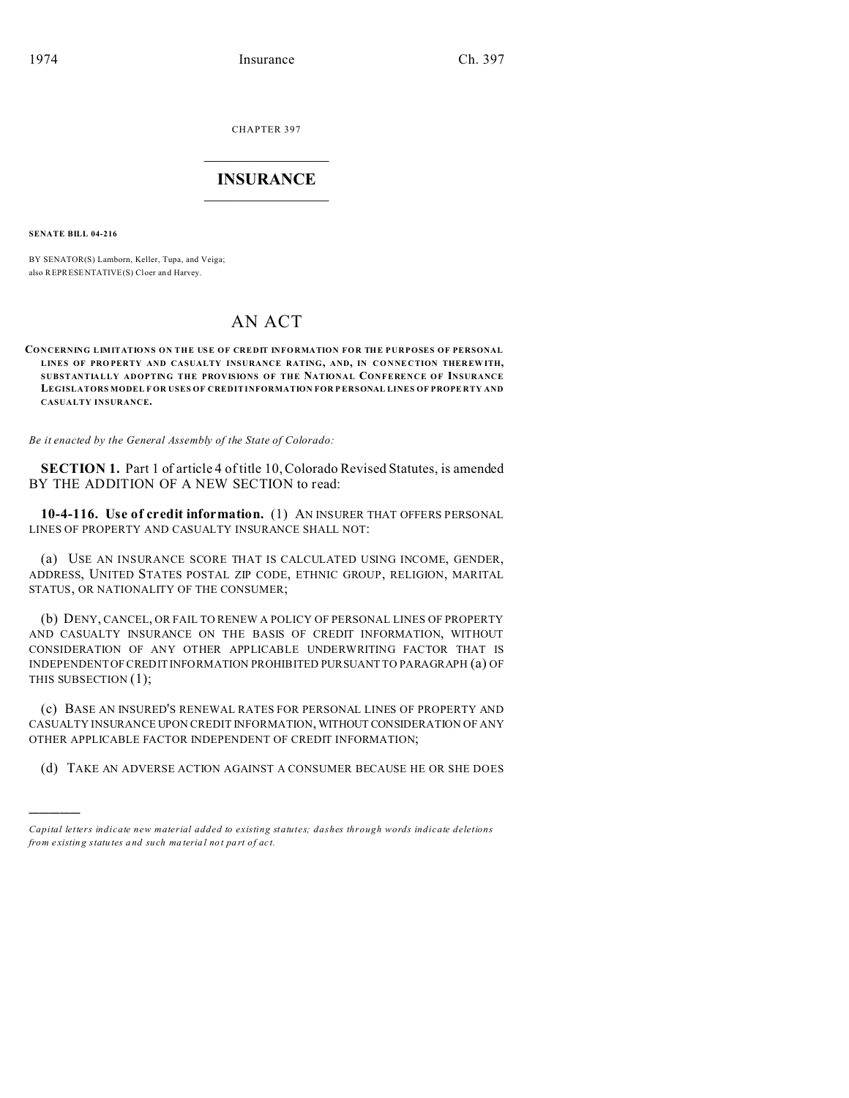**CHAPTER 397** 

# **INSURANCE**

**SENATE BILL 04-216** 

BY SENATOR(S) Lamborn, Keller, Tupa, and Veiga; also REPRESENTATIVE(S) Cloer and Harvey.

# **AN ACT**

CONCERNING LIMITATIONS ON THE USE OF CREDIT INFORMATION FOR THE PURPOSES OF PERSONAL LINES OF PROPERTY AND CASUALTY INSURANCE RATING, AND, IN CONNECTION THEREWITH, SUBSTANTIALLY ADOPTING THE PROVISIONS OF THE NATIONAL CONFERENCE OF INSURANCE LEGISLATORS MODEL FOR USES OF CREDITINFORMATION FOR PERSONAL LINES OF PROPERTY AND CASUALTY INSURANCE.

Be it enacted by the General Assembly of the State of Colorado:

**SECTION 1.** Part 1 of article 4 of title 10, Colorado Revised Statutes, is amended BY THE ADDITION OF A NEW SECTION to read:

10-4-116. Use of credit information. (1) AN INSURER THAT OFFERS PERSONAL LINES OF PROPERTY AND CASUALTY INSURANCE SHALL NOT:

(a) USE AN INSURANCE SCORE THAT IS CALCULATED USING INCOME, GENDER, ADDRESS, UNITED STATES POSTAL ZIP CODE, ETHNIC GROUP, RELIGION, MARITAL STATUS, OR NATIONALITY OF THE CONSUMER;

(b) DENY, CANCEL, OR FAIL TO RENEW A POLICY OF PERSONAL LINES OF PROPERTY AND CASUALTY INSURANCE ON THE BASIS OF CREDIT INFORMATION, WITHOUT CONSIDERATION OF ANY OTHER APPLICABLE UNDERWRITING FACTOR THAT IS INDEPENDENT OF CREDIT INFORMATION PROHIBITED PURSUANT TO PARAGRAPH (a) OF THIS SUBSECTION (1);

(c) BASE AN INSURED'S RENEWAL RATES FOR PERSONAL LINES OF PROPERTY AND CASUALTY INSURANCE UPON CREDIT INFORMATION, WITHOUT CONSIDERATION OF ANY OTHER APPLICABLE FACTOR INDEPENDENT OF CREDIT INFORMATION;

(d) TAKE AN ADVERSE ACTION AGAINST A CONSUMER BECAUSE HE OR SHE DOES

Capital letters indicate new material added to existing statutes; dashes through words indicate deletions from existing statutes and such material not part of act.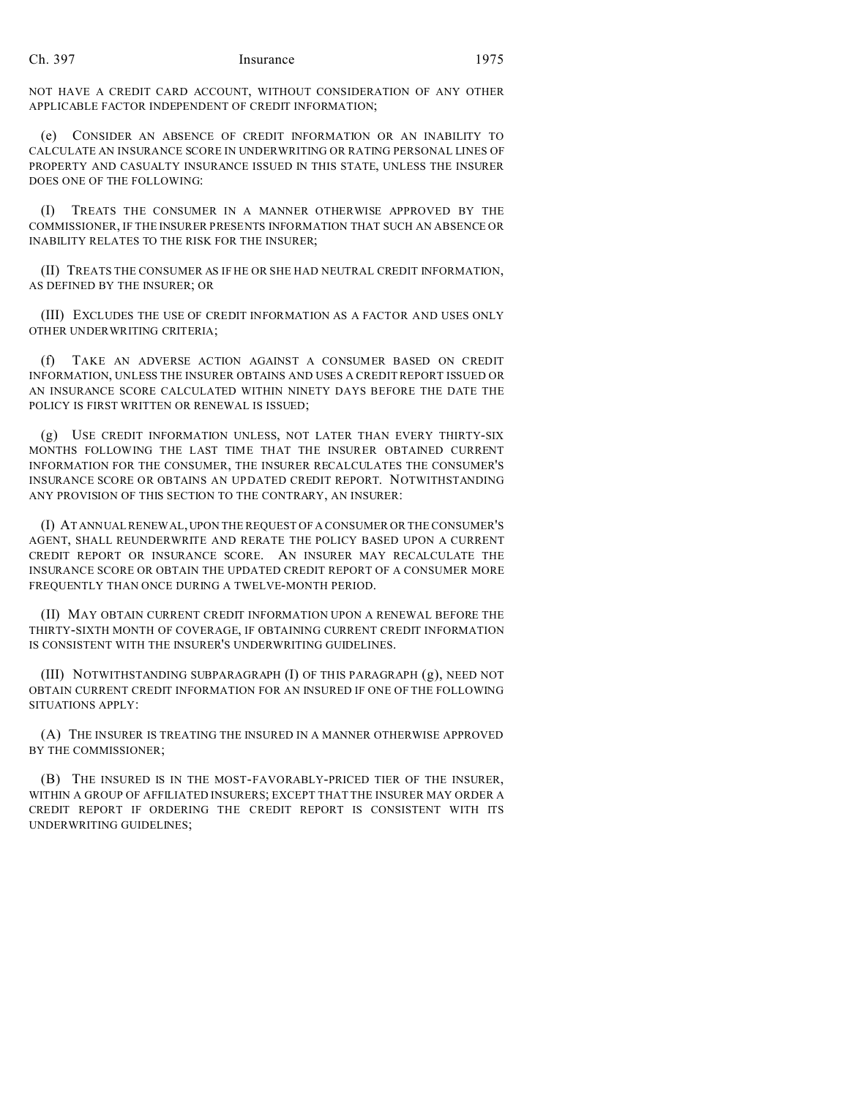### Ch. 397 Insurance 1975

NOT HAVE A CREDIT CARD ACCOUNT, WITHOUT CONSIDERATION OF ANY OTHER APPLICABLE FACTOR INDEPENDENT OF CREDIT INFORMATION;

(e) CONSIDER AN ABSENCE OF CREDIT INFORMATION OR AN INABILITY TO CALCULATE AN INSURANCE SCORE IN UNDERWRITING OR RATING PERSONAL LINES OF PROPERTY AND CASUALTY INSURANCE ISSUED IN THIS STATE, UNLESS THE INSURER DOES ONE OF THE FOLLOWING:

(I) TREATS THE CONSUMER IN A MANNER OTHERWISE APPROVED BY THE COMMISSIONER, IF THE INSURER PRESENTS INFORMATION THAT SUCH AN ABSENCE OR INABILITY RELATES TO THE RISK FOR THE INSURER;

(II) TREATS THE CONSUMER AS IF HE OR SHE HAD NEUTRAL CREDIT INFORMATION, AS DEFINED BY THE INSURER; OR

(III) EXCLUDES THE USE OF CREDIT INFORMATION AS A FACTOR AND USES ONLY OTHER UNDERWRITING CRITERIA;

(f) TAKE AN ADVERSE ACTION AGAINST A CONSUMER BASED ON CREDIT INFORMATION, UNLESS THE INSURER OBTAINS AND USES A CREDIT REPORT ISSUED OR AN INSURANCE SCORE CALCULATED WITHIN NINETY DAYS BEFORE THE DATE THE POLICY IS FIRST WRITTEN OR RENEWAL IS ISSUED;

(g) USE CREDIT INFORMATION UNLESS, NOT LATER THAN EVERY THIRTY-SIX MONTHS FOLLOWING THE LAST TIME THAT THE INSURER OBTAINED CURRENT INFORMATION FOR THE CONSUMER, THE INSURER RECALCULATES THE CONSUMER'S INSURANCE SCORE OR OBTAINS AN UPDATED CREDIT REPORT. NOTWITHSTANDING ANY PROVISION OF THIS SECTION TO THE CONTRARY, AN INSURER:

(I) AT ANNUAL RENEWAL,UPON THE REQUEST OF A CONSUMER OR THE CONSUMER'S AGENT, SHALL REUNDERWRITE AND RERATE THE POLICY BASED UPON A CURRENT CREDIT REPORT OR INSURANCE SCORE. AN INSURER MAY RECALCULATE THE INSURANCE SCORE OR OBTAIN THE UPDATED CREDIT REPORT OF A CONSUMER MORE FREQUENTLY THAN ONCE DURING A TWELVE-MONTH PERIOD.

(II) MAY OBTAIN CURRENT CREDIT INFORMATION UPON A RENEWAL BEFORE THE THIRTY-SIXTH MONTH OF COVERAGE, IF OBTAINING CURRENT CREDIT INFORMATION IS CONSISTENT WITH THE INSURER'S UNDERWRITING GUIDELINES.

(III) NOTWITHSTANDING SUBPARAGRAPH (I) OF THIS PARAGRAPH (g), NEED NOT OBTAIN CURRENT CREDIT INFORMATION FOR AN INSURED IF ONE OF THE FOLLOWING SITUATIONS APPLY:

(A) THE INSURER IS TREATING THE INSURED IN A MANNER OTHERWISE APPROVED BY THE COMMISSIONER;

(B) THE INSURED IS IN THE MOST-FAVORABLY-PRICED TIER OF THE INSURER, WITHIN A GROUP OF AFFILIATED INSURERS; EXCEPT THAT THE INSURER MAY ORDER A CREDIT REPORT IF ORDERING THE CREDIT REPORT IS CONSISTENT WITH ITS UNDERWRITING GUIDELINES;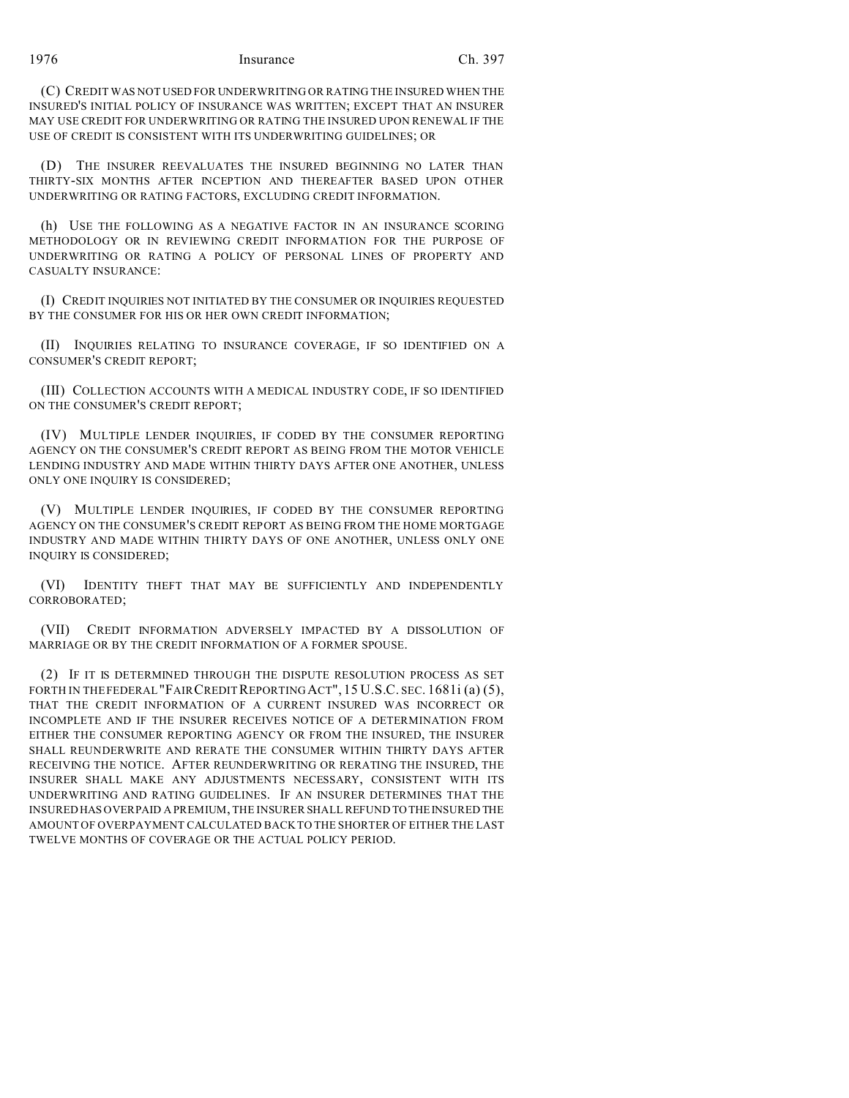1976 Insurance Ch. 397

(C) CREDIT WAS NOT USED FOR UNDERWRITING OR RATING THE INSURED WHEN THE INSURED'S INITIAL POLICY OF INSURANCE WAS WRITTEN; EXCEPT THAT AN INSURER MAY USE CREDIT FOR UNDERWRITING OR RATING THE INSURED UPON RENEWAL IF THE USE OF CREDIT IS CONSISTENT WITH ITS UNDERWRITING GUIDELINES; OR

(D) THE INSURER REEVALUATES THE INSURED BEGINNING NO LATER THAN THIRTY-SIX MONTHS AFTER INCEPTION AND THEREAFTER BASED UPON OTHER UNDERWRITING OR RATING FACTORS, EXCLUDING CREDIT INFORMATION.

(h) USE THE FOLLOWING AS A NEGATIVE FACTOR IN AN INSURANCE SCORING METHODOLOGY OR IN REVIEWING CREDIT INFORMATION FOR THE PURPOSE OF UNDERWRITING OR RATING A POLICY OF PERSONAL LINES OF PROPERTY AND CASUALTY INSURANCE:

(I) CREDIT INQUIRIES NOT INITIATED BY THE CONSUMER OR INQUIRIES REQUESTED BY THE CONSUMER FOR HIS OR HER OWN CREDIT INFORMATION;

(II) INQUIRIES RELATING TO INSURANCE COVERAGE, IF SO IDENTIFIED ON A CONSUMER'S CREDIT REPORT;

(III) COLLECTION ACCOUNTS WITH A MEDICAL INDUSTRY CODE, IF SO IDENTIFIED ON THE CONSUMER'S CREDIT REPORT;

(IV) MULTIPLE LENDER INQUIRIES, IF CODED BY THE CONSUMER REPORTING AGENCY ON THE CONSUMER'S CREDIT REPORT AS BEING FROM THE MOTOR VEHICLE LENDING INDUSTRY AND MADE WITHIN THIRTY DAYS AFTER ONE ANOTHER, UNLESS ONLY ONE INQUIRY IS CONSIDERED;

(V) MULTIPLE LENDER INQUIRIES, IF CODED BY THE CONSUMER REPORTING AGENCY ON THE CONSUMER'S CREDIT REPORT AS BEING FROM THE HOME MORTGAGE INDUSTRY AND MADE WITHIN THIRTY DAYS OF ONE ANOTHER, UNLESS ONLY ONE INQUIRY IS CONSIDERED;

(VI) IDENTITY THEFT THAT MAY BE SUFFICIENTLY AND INDEPENDENTLY CORROBORATED;

(VII) CREDIT INFORMATION ADVERSELY IMPACTED BY A DISSOLUTION OF MARRIAGE OR BY THE CREDIT INFORMATION OF A FORMER SPOUSE.

(2) IF IT IS DETERMINED THROUGH THE DISPUTE RESOLUTION PROCESS AS SET FORTH IN THE FEDERAL "FAIR CREDIT REPORTING ACT", 15 U.S.C. SEC. 1681i (a) (5), THAT THE CREDIT INFORMATION OF A CURRENT INSURED WAS INCORRECT OR INCOMPLETE AND IF THE INSURER RECEIVES NOTICE OF A DETERMINATION FROM EITHER THE CONSUMER REPORTING AGENCY OR FROM THE INSURED, THE INSURER SHALL REUNDERWRITE AND RERATE THE CONSUMER WITHIN THIRTY DAYS AFTER RECEIVING THE NOTICE. AFTER REUNDERWRITING OR RERATING THE INSURED, THE INSURER SHALL MAKE ANY ADJUSTMENTS NECESSARY, CONSISTENT WITH ITS UNDERWRITING AND RATING GUIDELINES. IF AN INSURER DETERMINES THAT THE INSURED HAS OVERPAID A PREMIUM, THE INSURER SHALL REFUND TO THE INSURED THE AMOUNT OF OVERPAYMENT CALCULATED BACK TO THE SHORTER OF EITHER THE LAST TWELVE MONTHS OF COVERAGE OR THE ACTUAL POLICY PERIOD.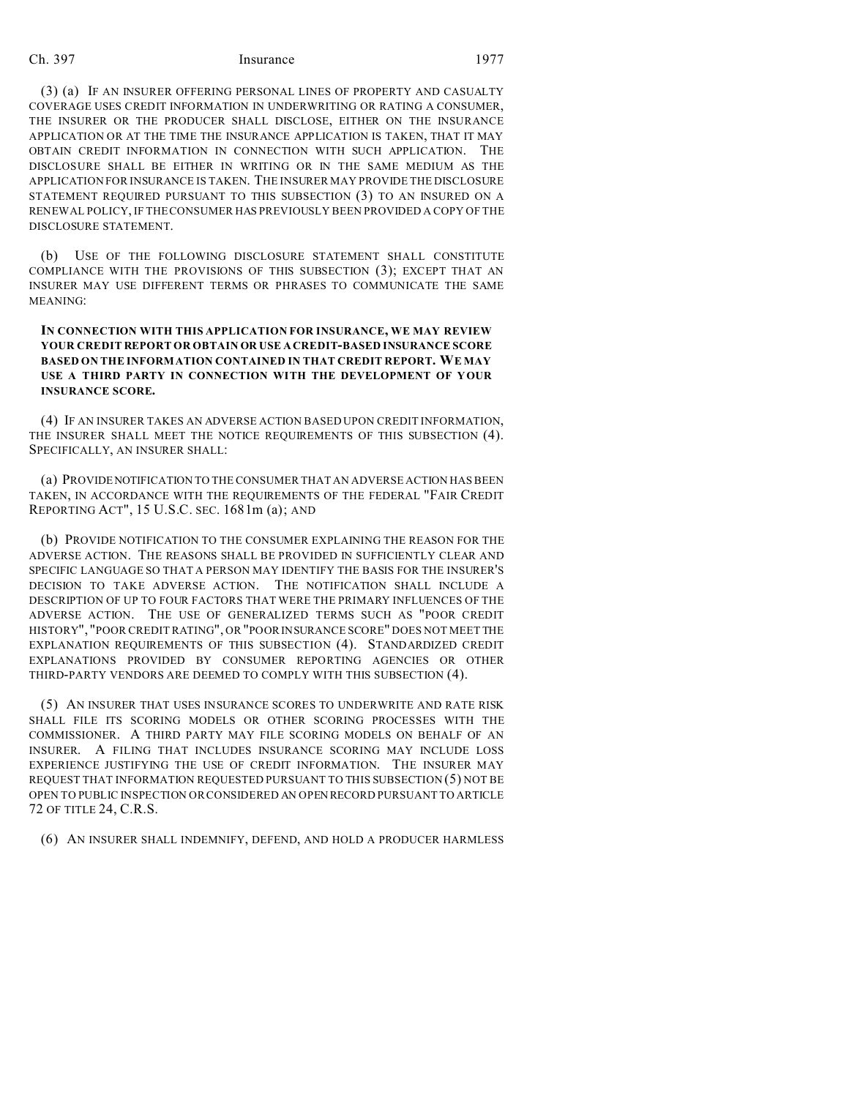### Ch. 397 Insurance 1977

(3) (a) IF AN INSURER OFFERING PERSONAL LINES OF PROPERTY AND CASUALTY COVERAGE USES CREDIT INFORMATION IN UNDERWRITING OR RATING A CONSUMER, THE INSURER OR THE PRODUCER SHALL DISCLOSE, EITHER ON THE INSURANCE APPLICATION OR AT THE TIME THE INSURANCE APPLICATION IS TAKEN, THAT IT MAY OBTAIN CREDIT INFORMATION IN CONNECTION WITH SUCH APPLICATION. THE DISCLOSURE SHALL BE EITHER IN WRITING OR IN THE SAME MEDIUM AS THE APPLICATION FOR INSURANCE IS TAKEN. THE INSURER MAY PROVIDE THE DISCLOSURE STATEMENT REQUIRED PURSUANT TO THIS SUBSECTION (3) TO AN INSURED ON A RENEWAL POLICY, IF THE CONSUMER HAS PREVIOUSLY BEEN PROVIDED A COPY OF THE DISCLOSURE STATEMENT.

(b) USE OF THE FOLLOWING DISCLOSURE STATEMENT SHALL CONSTITUTE COMPLIANCE WITH THE PROVISIONS OF THIS SUBSECTION (3); EXCEPT THAT AN INSURER MAY USE DIFFERENT TERMS OR PHRASES TO COMMUNICATE THE SAME MEANING:

# **IN CONNECTION WITH THIS APPLICATION FOR INSURANCE, WE MAY REVIEW YOUR CREDIT REPORT OR OBTAIN OR USE A CREDIT-BASED INSURANCE SCORE BASED ON THE INFORMATION CONTAINED IN THAT CREDIT REPORT. WE MAY USE A THIRD PARTY IN CONNECTION WITH THE DEVELOPMENT OF YOUR INSURANCE SCORE.**

(4) IF AN INSURER TAKES AN ADVERSE ACTION BASED UPON CREDIT INFORMATION, THE INSURER SHALL MEET THE NOTICE REQUIREMENTS OF THIS SUBSECTION (4). SPECIFICALLY, AN INSURER SHALL:

(a) PROVIDENOTIFICATION TO THE CONSUMER THAT AN ADVERSE ACTION HAS BEEN TAKEN, IN ACCORDANCE WITH THE REQUIREMENTS OF THE FEDERAL "FAIR CREDIT REPORTING ACT", 15 U.S.C. SEC. 1681m (a); AND

(b) PROVIDE NOTIFICATION TO THE CONSUMER EXPLAINING THE REASON FOR THE ADVERSE ACTION. THE REASONS SHALL BE PROVIDED IN SUFFICIENTLY CLEAR AND SPECIFIC LANGUAGE SO THAT A PERSON MAY IDENTIFY THE BASIS FOR THE INSURER'S DECISION TO TAKE ADVERSE ACTION. THE NOTIFICATION SHALL INCLUDE A DESCRIPTION OF UP TO FOUR FACTORS THAT WERE THE PRIMARY INFLUENCES OF THE ADVERSE ACTION. THE USE OF GENERALIZED TERMS SUCH AS "POOR CREDIT HISTORY", "POOR CREDIT RATING", OR "POOR INSURANCE SCORE" DOES NOT MEET THE EXPLANATION REQUIREMENTS OF THIS SUBSECTION (4). STANDARDIZED CREDIT EXPLANATIONS PROVIDED BY CONSUMER REPORTING AGENCIES OR OTHER THIRD-PARTY VENDORS ARE DEEMED TO COMPLY WITH THIS SUBSECTION (4).

(5) AN INSURER THAT USES INSURANCE SCORES TO UNDERWRITE AND RATE RISK SHALL FILE ITS SCORING MODELS OR OTHER SCORING PROCESSES WITH THE COMMISSIONER. A THIRD PARTY MAY FILE SCORING MODELS ON BEHALF OF AN INSURER. A FILING THAT INCLUDES INSURANCE SCORING MAY INCLUDE LOSS EXPERIENCE JUSTIFYING THE USE OF CREDIT INFORMATION. THE INSURER MAY REQUEST THAT INFORMATION REQUESTED PURSUANT TO THIS SUBSECTION (5) NOT BE OPEN TO PUBLIC INSPECTION OR CONSIDERED AN OPEN RECORD PURSUANT TO ARTICLE 72 OF TITLE 24, C.R.S.

(6) AN INSURER SHALL INDEMNIFY, DEFEND, AND HOLD A PRODUCER HARMLESS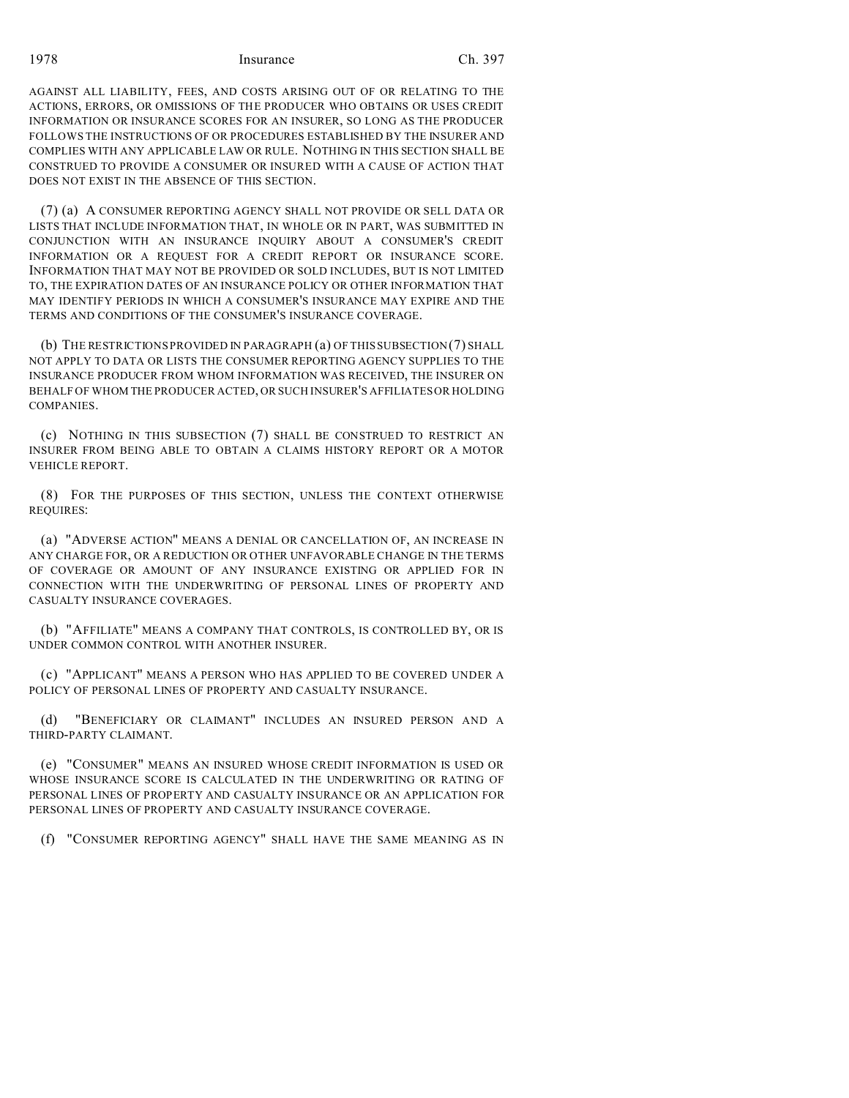1978 Insurance Ch. 397

AGAINST ALL LIABILITY, FEES, AND COSTS ARISING OUT OF OR RELATING TO THE ACTIONS, ERRORS, OR OMISSIONS OF THE PRODUCER WHO OBTAINS OR USES CREDIT INFORMATION OR INSURANCE SCORES FOR AN INSURER, SO LONG AS THE PRODUCER FOLLOWS THE INSTRUCTIONS OF OR PROCEDURES ESTABLISHED BY THE INSURER AND COMPLIES WITH ANY APPLICABLE LAW OR RULE. NOTHING IN THIS SECTION SHALL BE CONSTRUED TO PROVIDE A CONSUMER OR INSURED WITH A CAUSE OF ACTION THAT DOES NOT EXIST IN THE ABSENCE OF THIS SECTION.

(7) (a) A CONSUMER REPORTING AGENCY SHALL NOT PROVIDE OR SELL DATA OR LISTS THAT INCLUDE INFORMATION THAT, IN WHOLE OR IN PART, WAS SUBMITTED IN CONJUNCTION WITH AN INSURANCE INQUIRY ABOUT A CONSUMER'S CREDIT INFORMATION OR A REQUEST FOR A CREDIT REPORT OR INSURANCE SCORE. INFORMATION THAT MAY NOT BE PROVIDED OR SOLD INCLUDES, BUT IS NOT LIMITED TO, THE EXPIRATION DATES OF AN INSURANCE POLICY OR OTHER INFORMATION THAT MAY IDENTIFY PERIODS IN WHICH A CONSUMER'S INSURANCE MAY EXPIRE AND THE TERMS AND CONDITIONS OF THE CONSUMER'S INSURANCE COVERAGE.

(b) THE RESTRICTIONS PROVIDED IN PARAGRAPH (a) OF THIS SUBSECTION (7) SHALL NOT APPLY TO DATA OR LISTS THE CONSUMER REPORTING AGENCY SUPPLIES TO THE INSURANCE PRODUCER FROM WHOM INFORMATION WAS RECEIVED, THE INSURER ON BEHALF OF WHOM THE PRODUCER ACTED, OR SUCH INSURER'S AFFILIATES OR HOLDING COMPANIES.

(c) NOTHING IN THIS SUBSECTION (7) SHALL BE CONSTRUED TO RESTRICT AN INSURER FROM BEING ABLE TO OBTAIN A CLAIMS HISTORY REPORT OR A MOTOR VEHICLE REPORT.

(8) FOR THE PURPOSES OF THIS SECTION, UNLESS THE CONTEXT OTHERWISE REQUIRES:

(a) "ADVERSE ACTION" MEANS A DENIAL OR CANCELLATION OF, AN INCREASE IN ANY CHARGE FOR, OR A REDUCTION OR OTHER UNFAVORABLE CHANGE IN THE TERMS OF COVERAGE OR AMOUNT OF ANY INSURANCE EXISTING OR APPLIED FOR IN CONNECTION WITH THE UNDERWRITING OF PERSONAL LINES OF PROPERTY AND CASUALTY INSURANCE COVERAGES.

(b) "AFFILIATE" MEANS A COMPANY THAT CONTROLS, IS CONTROLLED BY, OR IS UNDER COMMON CONTROL WITH ANOTHER INSURER.

(c) "APPLICANT" MEANS A PERSON WHO HAS APPLIED TO BE COVERED UNDER A POLICY OF PERSONAL LINES OF PROPERTY AND CASUALTY INSURANCE.

(d) "BENEFICIARY OR CLAIMANT" INCLUDES AN INSURED PERSON AND A THIRD-PARTY CLAIMANT.

(e) "CONSUMER" MEANS AN INSURED WHOSE CREDIT INFORMATION IS USED OR WHOSE INSURANCE SCORE IS CALCULATED IN THE UNDERWRITING OR RATING OF PERSONAL LINES OF PROPERTY AND CASUALTY INSURANCE OR AN APPLICATION FOR PERSONAL LINES OF PROPERTY AND CASUALTY INSURANCE COVERAGE.

(f) "CONSUMER REPORTING AGENCY" SHALL HAVE THE SAME MEANING AS IN